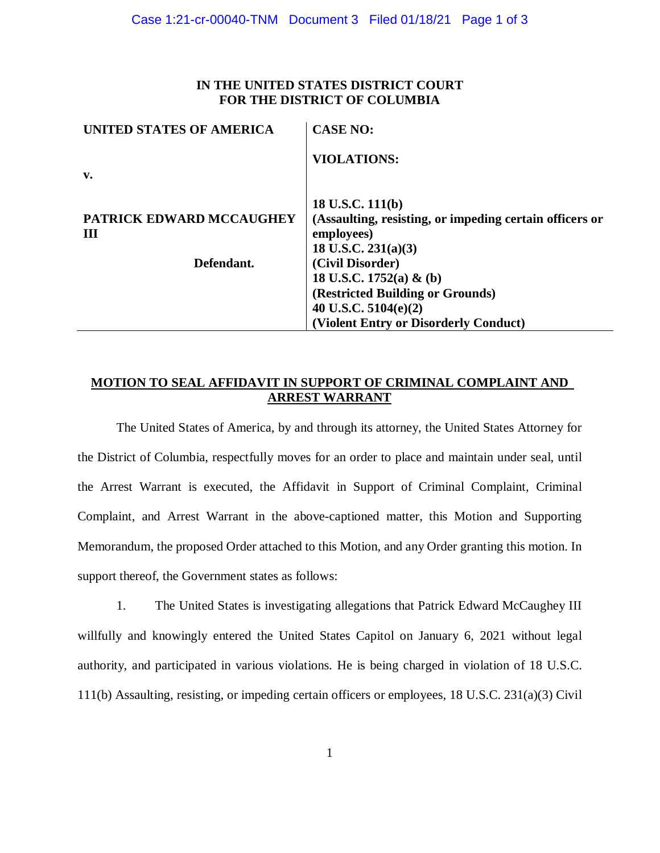## **IN THE UNITED STATES DISTRICT COURT FOR THE DISTRICT OF COLUMBIA**

| UNITED STATES OF AMERICA        | <b>CASE NO:</b>                                         |
|---------------------------------|---------------------------------------------------------|
|                                 | <b>VIOLATIONS:</b>                                      |
| $\mathbf{v}$ .                  |                                                         |
|                                 | 18 U.S.C. 111(b)                                        |
| <b>PATRICK EDWARD MCCAUGHEY</b> | (Assaulting, resisting, or impeding certain officers or |
| Ш                               | employees)                                              |
|                                 | 18 U.S.C. $231(a)(3)$                                   |
| Defendant.                      | (Civil Disorder)                                        |
|                                 | 18 U.S.C. 1752(a) & (b)                                 |
|                                 | (Restricted Building or Grounds)                        |
|                                 | 40 U.S.C. $5104(e)(2)$                                  |
|                                 | (Violent Entry or Disorderly Conduct)                   |

# **MOTION TO SEAL AFFIDAVIT IN SUPPORT OF CRIMINAL COMPLAINT AND ARREST WARRANT**

The United States of America, by and through its attorney, the United States Attorney for the District of Columbia, respectfully moves for an order to place and maintain under seal, until the Arrest Warrant is executed, the Affidavit in Support of Criminal Complaint, Criminal Complaint, and Arrest Warrant in the above-captioned matter, this Motion and Supporting Memorandum, the proposed Order attached to this Motion, and any Order granting this motion. In support thereof, the Government states as follows:

1. The United States is investigating allegations that Patrick Edward McCaughey III willfully and knowingly entered the United States Capitol on January 6, 2021 without legal authority, and participated in various violations. He is being charged in violation of 18 U.S.C. 111(b) Assaulting, resisting, or impeding certain officers or employees, 18 U.S.C. 231(a)(3) Civil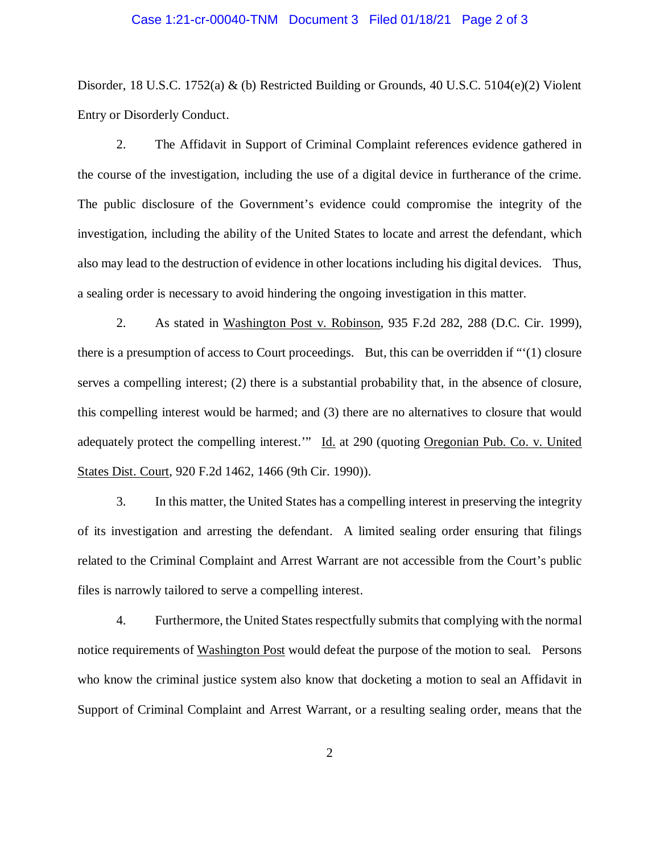#### Case 1:21-cr-00040-TNM Document 3 Filed 01/18/21 Page 2 of 3

Disorder, 18 U.S.C. 1752(a) & (b) Restricted Building or Grounds, 40 U.S.C. 5104(e)(2) Violent Entry or Disorderly Conduct.

2. The Affidavit in Support of Criminal Complaint references evidence gathered in the course of the investigation, including the use of a digital device in furtherance of the crime. The public disclosure of the Government's evidence could compromise the integrity of the investigation, including the ability of the United States to locate and arrest the defendant, which also may lead to the destruction of evidence in other locations including his digital devices. Thus, a sealing order is necessary to avoid hindering the ongoing investigation in this matter.

2. As stated in Washington Post v. Robinson, 935 F.2d 282, 288 (D.C. Cir. 1999), there is a presumption of access to Court proceedings. But, this can be overridden if "'(1) closure serves a compelling interest; (2) there is a substantial probability that, in the absence of closure, this compelling interest would be harmed; and (3) there are no alternatives to closure that would adequately protect the compelling interest." Id. at 290 (quoting Oregonian Pub. Co. v. United States Dist. Court, 920 F.2d 1462, 1466 (9th Cir. 1990)).

3. In this matter, the United States has a compelling interest in preserving the integrity of its investigation and arresting the defendant. A limited sealing order ensuring that filings related to the Criminal Complaint and Arrest Warrant are not accessible from the Court's public files is narrowly tailored to serve a compelling interest.

4. Furthermore, the United States respectfully submits that complying with the normal notice requirements of Washington Post would defeat the purpose of the motion to seal. Persons who know the criminal justice system also know that docketing a motion to seal an Affidavit in Support of Criminal Complaint and Arrest Warrant, or a resulting sealing order, means that the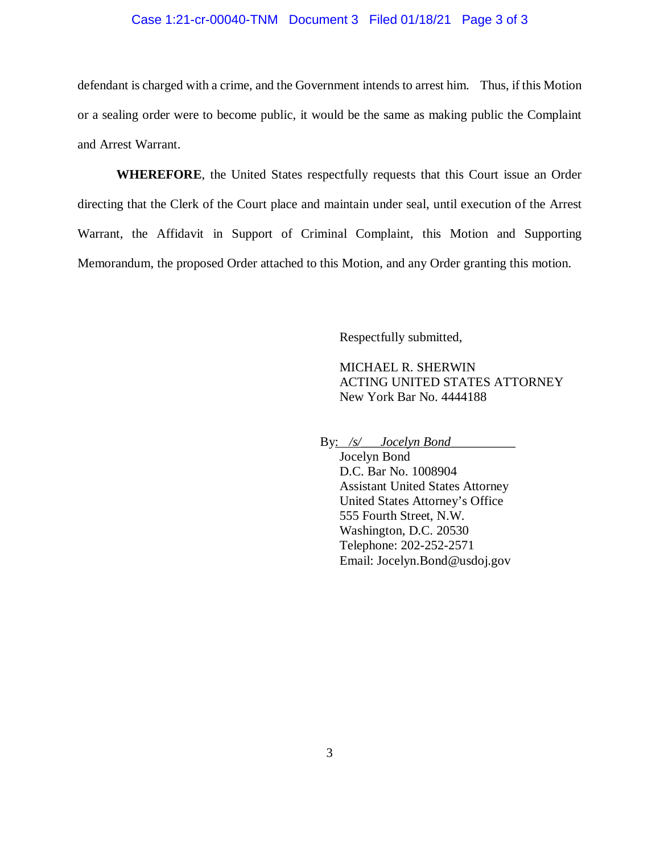#### Case 1:21-cr-00040-TNM Document 3 Filed 01/18/21 Page 3 of 3

defendant is charged with a crime, and the Government intends to arrest him. Thus, if this Motion or a sealing order were to become public, it would be the same as making public the Complaint and Arrest Warrant.

**WHEREFORE**, the United States respectfully requests that this Court issue an Order directing that the Clerk of the Court place and maintain under seal, until execution of the Arrest Warrant, the Affidavit in Support of Criminal Complaint, this Motion and Supporting Memorandum, the proposed Order attached to this Motion, and any Order granting this motion.

Respectfully submitted,

MICHAEL R. SHERWIN ACTING UNITED STATES ATTORNEY New York Bar No. 4444188

By: /s/\_*\_\_Jocelyn Bond\_\_\_\_* 

Jocelyn Bond D.C. Bar No. 1008904 Assistant United States Attorney United States Attorney's Office 555 Fourth Street, N.W. Washington, D.C. 20530 Telephone: 202-252-2571 Email: Jocelyn.Bond@usdoj.gov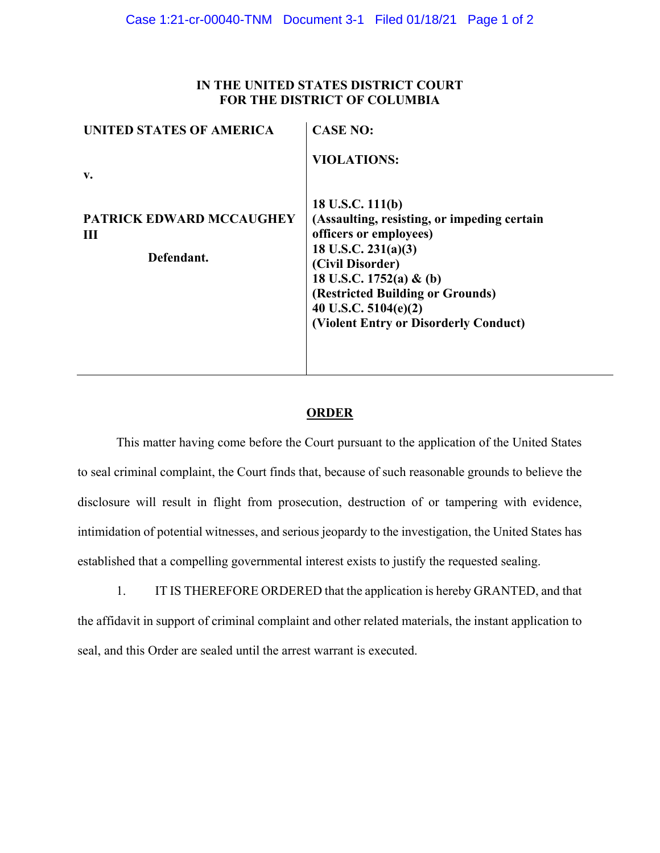## **IN THE UNITED STATES DISTRICT COURT FOR THE DISTRICT OF COLUMBIA**

| UNITED STATES OF AMERICA                           | <b>CASE NO:</b>                                                                                                                                                                                                                                                          |
|----------------------------------------------------|--------------------------------------------------------------------------------------------------------------------------------------------------------------------------------------------------------------------------------------------------------------------------|
| $\mathbf{v}$ .                                     | <b>VIOLATIONS:</b>                                                                                                                                                                                                                                                       |
| <b>PATRICK EDWARD MCCAUGHEY</b><br>Ш<br>Defendant. | 18 U.S.C. $111(b)$<br>(Assaulting, resisting, or impeding certain<br>officers or employees)<br>18 U.S.C. $231(a)(3)$<br>(Civil Disorder)<br>18 U.S.C. 1752(a) & (b)<br>(Restricted Building or Grounds)<br>40 U.S.C. 5104(e)(2)<br>(Violent Entry or Disorderly Conduct) |

## **ORDER**

This matter having come before the Court pursuant to the application of the United States to seal criminal complaint, the Court finds that, because of such reasonable grounds to believe the disclosure will result in flight from prosecution, destruction of or tampering with evidence, intimidation of potential witnesses, and serious jeopardy to the investigation, the United States has established that a compelling governmental interest exists to justify the requested sealing.

1. IT IS THEREFORE ORDERED that the application is hereby GRANTED, and that the affidavit in support of criminal complaint and other related materials, the instant application to seal, and this Order are sealed until the arrest warrant is executed.